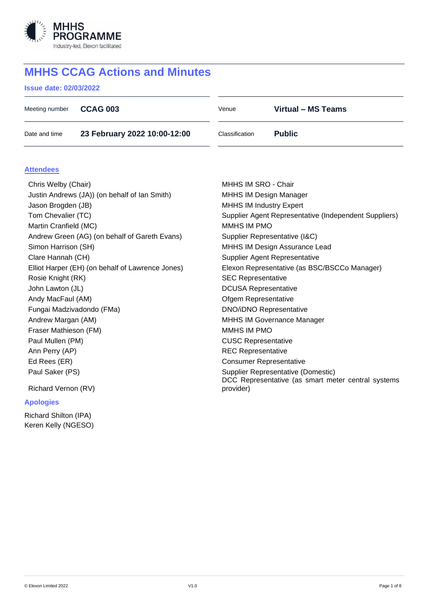

# **MHHS CCAG Actions and Minutes**

## **Issue date: 02/03/2022**

| Meeting number                                   | <b>CCAG 003</b>              | Venue                                                                                    | Virtual - MS Teams |  |  |
|--------------------------------------------------|------------------------------|------------------------------------------------------------------------------------------|--------------------|--|--|
| Date and time                                    | 23 February 2022 10:00-12:00 | Classification                                                                           | <b>Public</b>      |  |  |
|                                                  |                              |                                                                                          |                    |  |  |
| <b>Attendees</b>                                 |                              |                                                                                          |                    |  |  |
| Chris Welby (Chair)                              |                              | MHHS IM SRO - Chair                                                                      |                    |  |  |
| Justin Andrews (JA)) (on behalf of Ian Smith)    |                              | <b>MHHS IM Design Manager</b>                                                            |                    |  |  |
| Jason Brogden (JB)                               |                              | <b>MHHS IM Industry Expert</b>                                                           |                    |  |  |
| Tom Chevalier (TC)                               |                              | Supplier Agent Representative (Independent Suppliers)                                    |                    |  |  |
| Martin Cranfield (MC)                            |                              | <b>MMHS IM PMO</b>                                                                       |                    |  |  |
| Andrew Green (AG) (on behalf of Gareth Evans)    |                              | Supplier Representative (I&C)                                                            |                    |  |  |
| Simon Harrison (SH)                              |                              | MHHS IM Design Assurance Lead                                                            |                    |  |  |
| Clare Hannah (CH)                                |                              | <b>Supplier Agent Representative</b>                                                     |                    |  |  |
| Elliot Harper (EH) (on behalf of Lawrence Jones) |                              | Elexon Representative (as BSC/BSCCo Manager)                                             |                    |  |  |
| Rosie Knight (RK)                                |                              | <b>SEC Representative</b>                                                                |                    |  |  |
| John Lawton (JL)                                 |                              | <b>DCUSA Representative</b>                                                              |                    |  |  |
| Andy MacFaul (AM)                                |                              | Ofgem Representative                                                                     |                    |  |  |
| Fungai Madzivadondo (FMa)                        |                              | <b>DNO/iDNO Representative</b>                                                           |                    |  |  |
| Andrew Margan (AM)                               |                              | <b>MHHS IM Governance Manager</b>                                                        |                    |  |  |
| Fraser Mathieson (FM)                            |                              | MMHS IM PMO                                                                              |                    |  |  |
| Paul Mullen (PM)                                 |                              | <b>CUSC Representative</b>                                                               |                    |  |  |
| Ann Perry (AP)                                   |                              | <b>REC Representative</b>                                                                |                    |  |  |
| Ed Rees (ER)                                     |                              | <b>Consumer Representative</b>                                                           |                    |  |  |
| Paul Saker (PS)                                  |                              | Supplier Representative (Domestic)<br>DCC Representative (as smart meter central systems |                    |  |  |
| Richard Vernon (RV)                              |                              | provider)                                                                                |                    |  |  |
| <b>Apologies</b>                                 |                              |                                                                                          |                    |  |  |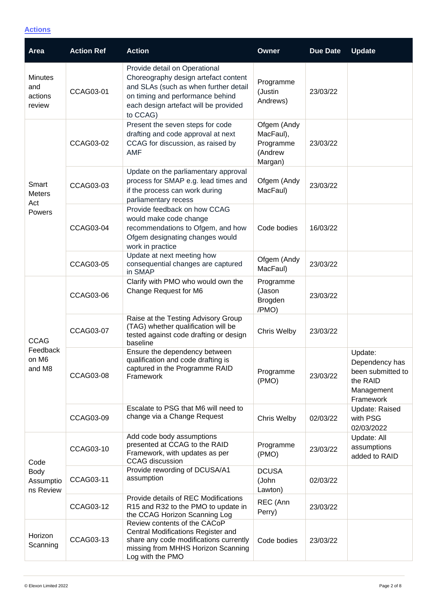## **Actions**

| Area                                          | <b>Action Ref</b> | <b>Action</b>                                                                                                                                                                                           | <b>Owner</b>                                                | <b>Due Date</b> | <b>Update</b>                                                                         |
|-----------------------------------------------|-------------------|---------------------------------------------------------------------------------------------------------------------------------------------------------------------------------------------------------|-------------------------------------------------------------|-----------------|---------------------------------------------------------------------------------------|
| <b>Minutes</b><br>and<br>actions<br>review    | CCAG03-01         | Provide detail on Operational<br>Choreography design artefact content<br>and SLAs (such as when further detail<br>on timing and performance behind<br>each design artefact will be provided<br>to CCAG) | Programme<br>(Justin<br>Andrews)                            | 23/03/22        |                                                                                       |
| Smart<br><b>Meters</b><br>Act<br>Powers       | CCAG03-02         | Present the seven steps for code<br>drafting and code approval at next<br>CCAG for discussion, as raised by<br><b>AMF</b>                                                                               | Ofgem (Andy<br>MacFaul),<br>Programme<br>(Andrew<br>Margan) | 23/03/22        |                                                                                       |
|                                               | CCAG03-03         | Update on the parliamentary approval<br>process for SMAP e.g. lead times and<br>if the process can work during<br>parliamentary recess                                                                  | Ofgem (Andy<br>MacFaul)                                     | 23/03/22        |                                                                                       |
|                                               | CCAG03-04         | Provide feedback on how CCAG<br>would make code change<br>recommendations to Ofgem, and how<br>Ofgem designating changes would<br>work in practice                                                      | Code bodies                                                 | 16/03/22        |                                                                                       |
|                                               | CCAG03-05         | Update at next meeting how<br>consequential changes are captured<br>in SMAP                                                                                                                             | Ofgem (Andy<br>MacFaul)                                     | 23/03/22        |                                                                                       |
| <b>CCAG</b><br>Feedback<br>on M6<br>and M8    | CCAG03-06         | Clarify with PMO who would own the<br>Change Request for M6                                                                                                                                             | Programme<br>(Jason<br>Brogden<br>/PMO)                     | 23/03/22        |                                                                                       |
|                                               | CCAG03-07         | Raise at the Testing Advisory Group<br>(TAG) whether qualification will be<br>tested against code drafting or design<br>baseline                                                                        | Chris Welby                                                 | 23/03/22        |                                                                                       |
|                                               | <b>CCAG03-08</b>  | Ensure the dependency between<br>qualification and code drafting is<br>captured in the Programme RAID<br>Framework                                                                                      | Programme<br>(PMO)                                          | 23/03/22        | Update:<br>Dependency has<br>been submitted to<br>the RAID<br>Management<br>Framework |
|                                               | <b>CCAG03-09</b>  | Escalate to PSG that M6 will need to<br>change via a Change Request                                                                                                                                     | Chris Welby                                                 | 02/03/22        | Update: Raised<br>with PSG<br>02/03/2022                                              |
| Code<br><b>Body</b><br>Assumptio<br>ns Review | CCAG03-10         | Add code body assumptions<br>presented at CCAG to the RAID<br>Framework, with updates as per<br><b>CCAG</b> discussion                                                                                  | Programme<br>(PMO)                                          | 23/03/22        | Update: All<br>assumptions<br>added to RAID                                           |
|                                               | CCAG03-11         | Provide rewording of DCUSA/A1<br>assumption                                                                                                                                                             | <b>DCUSA</b><br>(John<br>Lawton)                            | 02/03/22        |                                                                                       |
|                                               | CCAG03-12         | Provide details of REC Modifications<br>R15 and R32 to the PMO to update in<br>the CCAG Horizon Scanning Log                                                                                            | REC (Ann<br>Perry)                                          | 23/03/22        |                                                                                       |
| Horizon<br>Scanning                           | CCAG03-13         | Review contents of the CACoP<br>Central Modifications Register and<br>share any code modifications currently<br>missing from MHHS Horizon Scanning<br>Log with the PMO                                  | Code bodies                                                 | 23/03/22        |                                                                                       |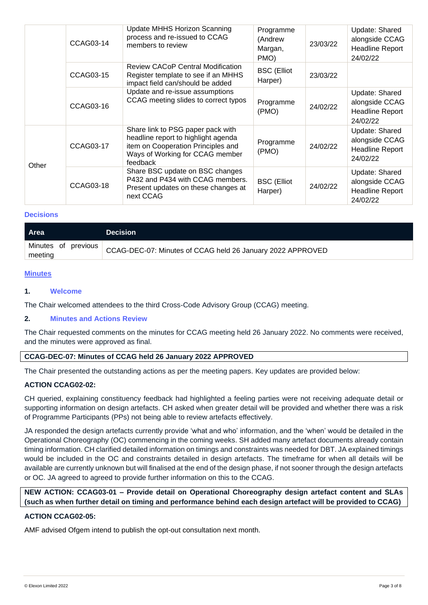|       | CCAG03-14 | <b>Update MHHS Horizon Scanning</b><br>process and re-issued to CCAG<br>members to review                                                                     | Programme<br>(Andrew<br>Margan,<br>PMO) | 23/03/22 | Update: Shared<br>alongside CCAG<br><b>Headline Report</b><br>24/02/22 |
|-------|-----------|---------------------------------------------------------------------------------------------------------------------------------------------------------------|-----------------------------------------|----------|------------------------------------------------------------------------|
|       | CCAG03-15 | <b>Review CACoP Central Modification</b><br>Register template to see if an MHHS<br>impact field can/should be added                                           | <b>BSC</b> (Elliot<br>Harper)           | 23/03/22 |                                                                        |
|       | CCAG03-16 | Update and re-issue assumptions<br>CCAG meeting slides to correct typos                                                                                       | Programme<br>(PMO)                      | 24/02/22 | Update: Shared<br>alongside CCAG<br><b>Headline Report</b><br>24/02/22 |
| Other | CCAG03-17 | Share link to PSG paper pack with<br>headline report to highlight agenda<br>item on Cooperation Principles and<br>Ways of Working for CCAG member<br>feedback | Programme<br>(PMO)                      | 24/02/22 | Update: Shared<br>alongside CCAG<br><b>Headline Report</b><br>24/02/22 |
|       | CCAG03-18 | Share BSC update on BSC changes<br>P432 and P434 with CCAG members.<br>Present updates on these changes at<br>next CCAG                                       | <b>BSC</b> (Elliot<br>Harper)           | 24/02/22 | Update: Shared<br>alongside CCAG<br><b>Headline Report</b><br>24/02/22 |

## **Decisions**

| <b>Area</b>                    | <b>Decision</b>                                            |
|--------------------------------|------------------------------------------------------------|
| Minutes of previous<br>meeting | CCAG-DEC-07: Minutes of CCAG held 26 January 2022 APPROVED |

#### **Minutes**

#### **1. Welcome**

The Chair welcomed attendees to the third Cross-Code Advisory Group (CCAG) meeting.

## **2. Minutes and Actions Review**

The Chair requested comments on the minutes for CCAG meeting held 26 January 2022. No comments were received, and the minutes were approved as final.

## **CCAG-DEC-07: Minutes of CCAG held 26 January 2022 APPROVED**

The Chair presented the outstanding actions as per the meeting papers. Key updates are provided below:

#### **ACTION CCAG02-02:**

CH queried, explaining constituency feedback had highlighted a feeling parties were not receiving adequate detail or supporting information on design artefacts. CH asked when greater detail will be provided and whether there was a risk of Programme Participants (PPs) not being able to review artefacts effectively.

JA responded the design artefacts currently provide 'what and who' information, and the 'when' would be detailed in the Operational Choreography (OC) commencing in the coming weeks. SH added many artefact documents already contain timing information. CH clarified detailed information on timings and constraints was needed for DBT. JA explained timings would be included in the OC and constraints detailed in design artefacts. The timeframe for when all details will be available are currently unknown but will finalised at the end of the design phase, if not sooner through the design artefacts or OC. JA agreed to agreed to provide further information on this to the CCAG.

**NEW ACTION: CCAG03-01 – Provide detail on Operational Choreography design artefact content and SLAs (such as when further detail on timing and performance behind each design artefact will be provided to CCAG)**

#### **ACTION CCAG02-05:**

AMF advised Ofgem intend to publish the opt-out consultation next month.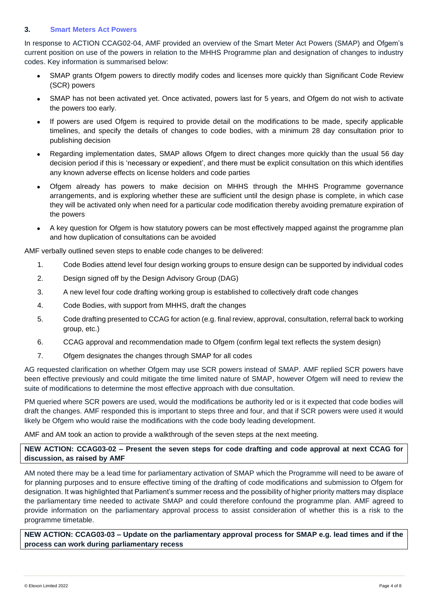## **3. Smart Meters Act Powers**

In response to ACTION CCAG02-04, AMF provided an overview of the Smart Meter Act Powers (SMAP) and Ofgem's current position on use of the powers in relation to the MHHS Programme plan and designation of changes to industry codes. Key information is summarised below:

- SMAP grants Ofgem powers to directly modify codes and licenses more quickly than Significant Code Review (SCR) powers
- SMAP has not been activated yet. Once activated, powers last for 5 years, and Ofgem do not wish to activate the powers too early.
- If powers are used Ofgem is required to provide detail on the modifications to be made, specify applicable timelines, and specify the details of changes to code bodies, with a minimum 28 day consultation prior to publishing decision
- Regarding implementation dates, SMAP allows Ofgem to direct changes more quickly than the usual 56 day decision period if this is 'necessary or expedient', and there must be explicit consultation on this which identifies any known adverse effects on license holders and code parties
- Ofgem already has powers to make decision on MHHS through the MHHS Programme governance arrangements, and is exploring whether these are sufficient until the design phase is complete, in which case they will be activated only when need for a particular code modification thereby avoiding premature expiration of the powers
- A key question for Ofgem is how statutory powers can be most effectively mapped against the programme plan and how duplication of consultations can be avoided

AMF verbally outlined seven steps to enable code changes to be delivered:

- 1. Code Bodies attend level four design working groups to ensure design can be supported by individual codes
- 2. Design signed off by the Design Advisory Group (DAG)
- 3. A new level four code drafting working group is established to collectively draft code changes
- 4. Code Bodies, with support from MHHS, draft the changes
- 5. Code drafting presented to CCAG for action (e.g. final review, approval, consultation, referral back to working group, etc.)
- 6. CCAG approval and recommendation made to Ofgem (confirm legal text reflects the system design)
- 7. Ofgem designates the changes through SMAP for all codes

AG requested clarification on whether Ofgem may use SCR powers instead of SMAP. AMF replied SCR powers have been effective previously and could mitigate the time limited nature of SMAP, however Ofgem will need to review the suite of modifications to determine the most effective approach with due consultation.

PM queried where SCR powers are used, would the modifications be authority led or is it expected that code bodies will draft the changes. AMF responded this is important to steps three and four, and that if SCR powers were used it would likely be Ofgem who would raise the modifications with the code body leading development.

AMF and AM took an action to provide a walkthrough of the seven steps at the next meeting.

## **NEW ACTION: CCAG03-02 – Present the seven steps for code drafting and code approval at next CCAG for discussion, as raised by AMF**

AM noted there may be a lead time for parliamentary activation of SMAP which the Programme will need to be aware of for planning purposes and to ensure effective timing of the drafting of code modifications and submission to Ofgem for designation. It was highlighted that Parliament's summer recess and the possibility of higher priority matters may displace the parliamentary time needed to activate SMAP and could therefore confound the programme plan. AMF agreed to provide information on the parliamentary approval process to assist consideration of whether this is a risk to the programme timetable.

**NEW ACTION: CCAG03-03 – Update on the parliamentary approval process for SMAP e.g. lead times and if the process can work during parliamentary recess**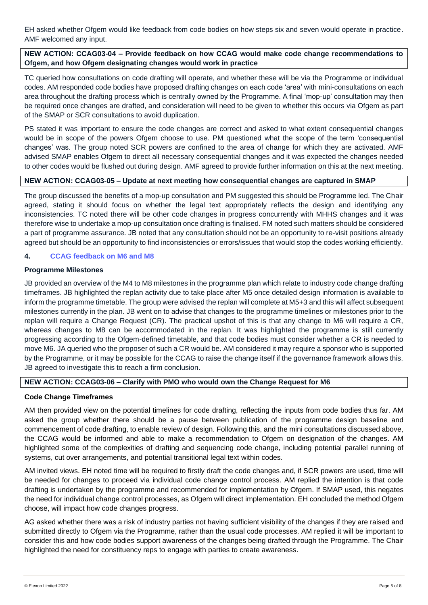EH asked whether Ofgem would like feedback from code bodies on how steps six and seven would operate in practice. AMF welcomed any input.

## **NEW ACTION: CCAG03-04 – Provide feedback on how CCAG would make code change recommendations to Ofgem, and how Ofgem designating changes would work in practice**

TC queried how consultations on code drafting will operate, and whether these will be via the Programme or individual codes. AM responded code bodies have proposed drafting changes on each code 'area' with mini-consultations on each area throughout the drafting process which is centrally owned by the Programme. A final 'mop-up' consultation may then be required once changes are drafted, and consideration will need to be given to whether this occurs via Ofgem as part of the SMAP or SCR consultations to avoid duplication.

PS stated it was important to ensure the code changes are correct and asked to what extent consequential changes would be in scope of the powers Ofgem choose to use. PM questioned what the scope of the term 'consequential changes' was. The group noted SCR powers are confined to the area of change for which they are activated. AMF advised SMAP enables Ofgem to direct all necessary consequential changes and it was expected the changes needed to other codes would be flushed out during design. AMF agreed to provide further information on this at the next meeting.

## **NEW ACTION: CCAG03-05 – Update at next meeting how consequential changes are captured in SMAP**

The group discussed the benefits of a mop-up consultation and PM suggested this should be Programme led. The Chair agreed, stating it should focus on whether the legal text appropriately reflects the design and identifying any inconsistencies. TC noted there will be other code changes in progress concurrently with MHHS changes and it was therefore wise to undertake a mop-up consultation once drafting is finalised. FM noted such matters should be considered a part of programme assurance. JB noted that any consultation should not be an opportunity to re-visit positions already agreed but should be an opportunity to find inconsistencies or errors/issues that would stop the codes working efficiently.

## **4. CCAG feedback on M6 and M8**

## **Programme Milestones**

JB provided an overview of the M4 to M8 milestones in the programme plan which relate to industry code change drafting timeframes. JB highlighted the replan activity due to take place after M5 once detailed design information is available to inform the programme timetable. The group were advised the replan will complete at M5+3 and this will affect subsequent milestones currently in the plan. JB went on to advise that changes to the programme timelines or milestones prior to the replan will require a Change Request (CR). The practical upshot of this is that any change to M6 will require a CR, whereas changes to M8 can be accommodated in the replan. It was highlighted the programme is still currently progressing according to the Ofgem-defined timetable, and that code bodies must consider whether a CR is needed to move M6. JA queried who the proposer of such a CR would be. AM considered it may require a sponsor who is supported by the Programme, or it may be possible for the CCAG to raise the change itself if the governance framework allows this. JB agreed to investigate this to reach a firm conclusion.

## **NEW ACTION: CCAG03-06 – Clarify with PMO who would own the Change Request for M6**

## **Code Change Timeframes**

AM then provided view on the potential timelines for code drafting, reflecting the inputs from code bodies thus far. AM asked the group whether there should be a pause between publication of the programme design baseline and commencement of code drafting, to enable review of design. Following this, and the mini consultations discussed above, the CCAG would be informed and able to make a recommendation to Ofgem on designation of the changes. AM highlighted some of the complexities of drafting and sequencing code change, including potential parallel running of systems, cut over arrangements, and potential transitional legal text within codes.

AM invited views. EH noted time will be required to firstly draft the code changes and, if SCR powers are used, time will be needed for changes to proceed via individual code change control process. AM replied the intention is that code drafting is undertaken by the programme and recommended for implementation by Ofgem. If SMAP used, this negates the need for individual change control processes, as Ofgem will direct implementation. EH concluded the method Ofgem choose, will impact how code changes progress.

AG asked whether there was a risk of industry parties not having sufficient visibility of the changes if they are raised and submitted directly to Ofgem via the Programme, rather than the usual code processes. AM replied it will be important to consider this and how code bodies support awareness of the changes being drafted through the Programme. The Chair highlighted the need for constituency reps to engage with parties to create awareness.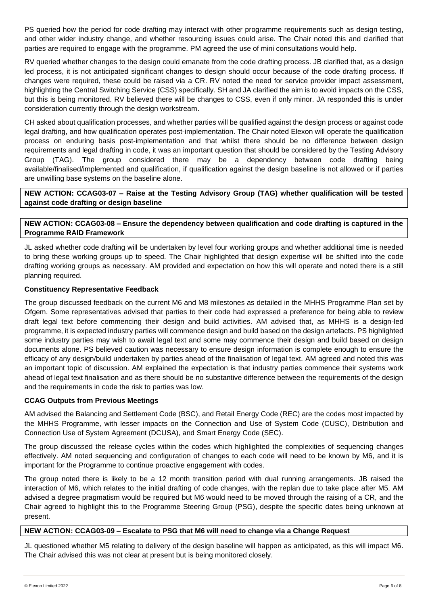PS queried how the period for code drafting may interact with other programme requirements such as design testing, and other wider industry change, and whether resourcing issues could arise. The Chair noted this and clarified that parties are required to engage with the programme. PM agreed the use of mini consultations would help.

RV queried whether changes to the design could emanate from the code drafting process. JB clarified that, as a design led process, it is not anticipated significant changes to design should occur because of the code drafting process. If changes were required, these could be raised via a CR. RV noted the need for service provider impact assessment, highlighting the Central Switching Service (CSS) specifically. SH and JA clarified the aim is to avoid impacts on the CSS, but this is being monitored. RV believed there will be changes to CSS, even if only minor. JA responded this is under consideration currently through the design workstream.

CH asked about qualification processes, and whether parties will be qualified against the design process or against code legal drafting, and how qualification operates post-implementation. The Chair noted Elexon will operate the qualification process on enduring basis post-implementation and that whilst there should be no difference between design requirements and legal drafting in code, it was an important question that should be considered by the Testing Advisory Group (TAG). The group considered there may be a dependency between code drafting being available/finalised/implemented and qualification, if qualification against the design baseline is not allowed or if parties are unwilling base systems on the baseline alone.

**NEW ACTION: CCAG03-07 – Raise at the Testing Advisory Group (TAG) whether qualification will be tested against code drafting or design baseline**

# **NEW ACTION: CCAG03-08 – Ensure the dependency between qualification and code drafting is captured in the Programme RAID Framework**

JL asked whether code drafting will be undertaken by level four working groups and whether additional time is needed to bring these working groups up to speed. The Chair highlighted that design expertise will be shifted into the code drafting working groups as necessary. AM provided and expectation on how this will operate and noted there is a still planning required.

## **Constituency Representative Feedback**

The group discussed feedback on the current M6 and M8 milestones as detailed in the MHHS Programme Plan set by Ofgem. Some representatives advised that parties to their code had expressed a preference for being able to review draft legal text before commencing their design and build activities. AM advised that, as MHHS is a design-led programme, it is expected industry parties will commence design and build based on the design artefacts. PS highlighted some industry parties may wish to await legal text and some may commence their design and build based on design documents alone. PS believed caution was necessary to ensure design information is complete enough to ensure the efficacy of any design/build undertaken by parties ahead of the finalisation of legal text. AM agreed and noted this was an important topic of discussion. AM explained the expectation is that industry parties commence their systems work ahead of legal text finalisation and as there should be no substantive difference between the requirements of the design and the requirements in code the risk to parties was low.

# **CCAG Outputs from Previous Meetings**

AM advised the Balancing and Settlement Code (BSC), and Retail Energy Code (REC) are the codes most impacted by the MHHS Programme, with lesser impacts on the Connection and Use of System Code (CUSC), Distribution and Connection Use of System Agreement (DCUSA), and Smart Energy Code (SEC).

The group discussed the release cycles within the codes which highlighted the complexities of sequencing changes effectively. AM noted sequencing and configuration of changes to each code will need to be known by M6, and it is important for the Programme to continue proactive engagement with codes.

The group noted there is likely to be a 12 month transition period with dual running arrangements. JB raised the interaction of M6, which relates to the initial drafting of code changes, with the replan due to take place after M5. AM advised a degree pragmatism would be required but M6 would need to be moved through the raising of a CR, and the Chair agreed to highlight this to the Programme Steering Group (PSG), despite the specific dates being unknown at present.

## **NEW ACTION: CCAG03-09 – Escalate to PSG that M6 will need to change via a Change Request**

JL questioned whether M5 relating to delivery of the design baseline will happen as anticipated, as this will impact M6. The Chair advised this was not clear at present but is being monitored closely.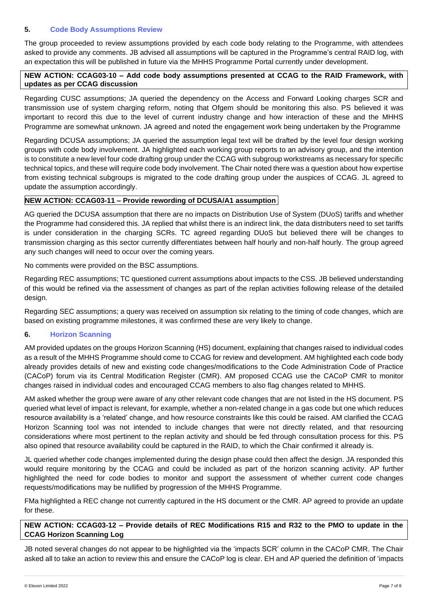## **5. Code Body Assumptions Review**

The group proceeded to review assumptions provided by each code body relating to the Programme, with attendees asked to provide any comments. JB advised all assumptions will be captured in the Programme's central RAID log, with an expectation this will be published in future via the MHHS Programme Portal currently under development.

## **NEW ACTION: CCAG03-10 – Add code body assumptions presented at CCAG to the RAID Framework, with updates as per CCAG discussion**

Regarding CUSC assumptions; JA queried the dependency on the Access and Forward Looking charges SCR and transmission use of system charging reform, noting that Ofgem should be monitoring this also. PS believed it was important to record this due to the level of current industry change and how interaction of these and the MHHS Programme are somewhat unknown. JA agreed and noted the engagement work being undertaken by the Programme

Regarding DCUSA assumptions; JA queried the assumption legal text will be drafted by the level four design working groups with code body involvement. JA highlighted each working group reports to an advisory group, and the intention is to constitute a new level four code drafting group under the CCAG with subgroup workstreams as necessary for specific technical topics, and these will require code body involvement. The Chair noted there was a question about how expertise from existing technical subgroups is migrated to the code drafting group under the auspices of CCAG. JL agreed to update the assumption accordingly.

## **NEW ACTION: CCAG03-11 – Provide rewording of DCUSA/A1 assumption**

AG queried the DCUSA assumption that there are no impacts on Distribution Use of System (DUoS) tariffs and whether the Programme had considered this. JA replied that whilst there is an indirect link, the data distributers need to set tariffs is under consideration in the charging SCRs. TC agreed regarding DUoS but believed there will be changes to transmission charging as this sector currently differentiates between half hourly and non-half hourly. The group agreed any such changes will need to occur over the coming years.

No comments were provided on the BSC assumptions.

Regarding REC assumptions; TC questioned current assumptions about impacts to the CSS. JB believed understanding of this would be refined via the assessment of changes as part of the replan activities following release of the detailed design.

Regarding SEC assumptions; a query was received on assumption six relating to the timing of code changes, which are based on existing programme milestones, it was confirmed these are very likely to change.

## **6. Horizon Scanning**

AM provided updates on the groups Horizon Scanning (HS) document, explaining that changes raised to individual codes as a result of the MHHS Programme should come to CCAG for review and development. AM highlighted each code body already provides details of new and existing code changes/modifications to the Code Administration Code of Practice (CACoP) forum via its Central Modification Register (CMR). AM proposed CCAG use the CACoP CMR to monitor changes raised in individual codes and encouraged CCAG members to also flag changes related to MHHS.

AM asked whether the group were aware of any other relevant code changes that are not listed in the HS document. PS queried what level of impact is relevant, for example, whether a non-related change in a gas code but one which reduces resource availability is a 'related' change, and how resource constraints like this could be raised. AM clarified the CCAG Horizon Scanning tool was not intended to include changes that were not directly related, and that resourcing considerations where most pertinent to the replan activity and should be fed through consultation process for this. PS also opined that resource availability could be captured in the RAID, to which the Chair confirmed it already is.

JL queried whether code changes implemented during the design phase could then affect the design. JA responded this would require monitoring by the CCAG and could be included as part of the horizon scanning activity. AP further highlighted the need for code bodies to monitor and support the assessment of whether current code changes requests/modifications may be nullified by progression of the MHHS Programme.

FMa highlighted a REC change not currently captured in the HS document or the CMR. AP agreed to provide an update for these.

# **NEW ACTION: CCAG03-12 – Provide details of REC Modifications R15 and R32 to the PMO to update in the CCAG Horizon Scanning Log**

JB noted several changes do not appear to be highlighted via the 'impacts SCR' column in the CACoP CMR. The Chair asked all to take an action to review this and ensure the CACoP log is clear. EH and AP queried the definition of 'impacts